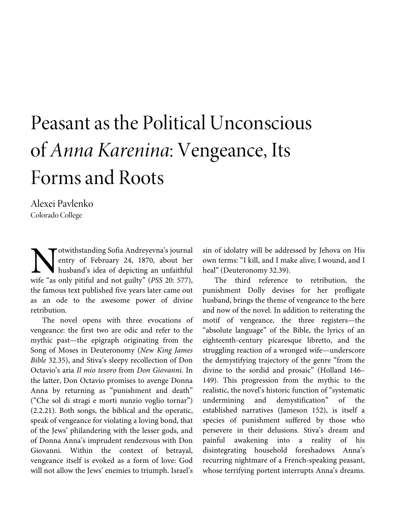# Peasant as the Political Unconscious of *Anna Karenina*: Vengeance, Its Forms and Roots

Alexei Pavlenko Colorado College

otwithstanding Sofia Andreyevna's journal entry of February 24, 1870, about her husband's idea of depicting an unfaithful Motwithstanding Sofia Andreyevna's journal<br>entry of February 24, 1870, about her<br>husband's idea of depicting an unfaithful<br>wife "as only pitiful and not guilty" (*PSS* 20: 577), the famous text published five years later came out as an ode to the awesome power of divine retribution.

The novel opens with three evocations of vengeance: the first two are odic and refer to the mythic past—the epigraph originating from the Song of Moses in Deuteronomy (*New King James Bible* 32.35), and Stiva's sleepy recollection of Don Octavio's aria *Il mio tesoro* from *Don Giovanni.* In the latter, Don Octavio promises to avenge Donna Anna by returning as "punishment and death" ("Che sol di stragi e morti nunzio voglio tornar") (2.2.21). Both songs, the biblical and the operatic, speak of vengeance for violating a loving bond, that of the Jews' philandering with the lesser gods, and of Donna Anna's imprudent rendezvous with Don Giovanni. Within the context of betrayal, vengeance itself is evoked as a form of love: God will not allow the Jews' enemies to triumph. Israel's

sin of idolatry will be addressed by Jehova on His own terms: "I kill, and I make alive; I wound, and I heal" (Deuteronomy 32.39).

The third reference to retribution, the punishment Dolly devises for her profligate husband, brings the theme of vengeance to the here and now of the novel. In addition to reiterating the motif of vengeance, the three registers—the "absolute language" of the Bible, the lyrics of an eighteenth-century picaresque libretto, and the struggling reaction of a wronged wife—underscore the demystifying trajectory of the genre "from the divine to the sordid and prosaic" (Holland 146– 149). This progression from the mythic to the realistic, the novel's historic function of "systematic undermining and demystification" of the established narratives (Jameson 152), is itself a species of punishment suffered by those who persevere in their delusions. Stiva's dream and painful awakening into a reality of his disintegrating household foreshadows Anna's recurring nightmare of a French-speaking peasant, whose terrifying portent interrupts Anna's dreams.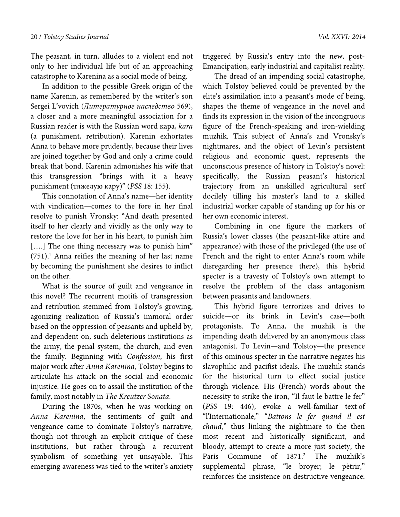The peasant, in turn, alludes to a violent end not only to her individual life but of an approaching catastrophe to Karenina as a social mode of being.

In addition to the possible Greek origin of the name Karenin, as remembered by the writer's son Sergei L'vovich (*Литературное наследство* 569), a closer and a more meaningful association for a Russian reader is with the Russian word кара, *kara* (a punishment, retribution). Karenin exhortates Anna to behave more prudently, because their lives are joined together by God and only a crime could break that bond. Karenin admonishes his wife that this transgression "brings with it a heavy punishment (тяжелую кару)" (*PSS* 18: 155).

This connotation of Anna's name—her identity with vindication—comes to the fore in her final resolve to punish Vronsky: "And death presented itself to her clearly and vividly as the only way to restore the love for her in his heart, to punish him [....] The one thing necessary was to punish him"  $(751).<sup>1</sup>$  Anna reifies the meaning of her last name by becoming the punishment she desires to inflict on the other.

What is the source of guilt and vengeance in this novel? The recurrent motifs of transgression and retribution stemmed from Tolstoy's growing, agonizing realization of Russia's immoral order based on the oppression of peasants and upheld by, and dependent on, such deleterious institutions as the army, the penal system, the church, and even the family. Beginning with *Confession*, his first major work after *Anna Karenina*, Tolstoy begins to articulate his attack on the social and economic injustice. He goes on to assail the institution of the family, most notably in *The Kreutzer Sonata*.

During the 1870s, when he was working on *Anna Karenina*, the sentiments of guilt and vengeance came to dominate Tolstoy's narrative, though not through an explicit critique of these institutions, but rather through a recurrent symbolism of something yet unsayable. This emerging awareness was tied to the writer's anxiety

triggered by Russia's entry into the new, post-Emancipation, early industrial and capitalist reality.

The dread of an impending social catastrophe, which Tolstoy believed could be prevented by the elite's assimilation into a peasant's mode of being, shapes the theme of vengeance in the novel and finds its expression in the vision of the incongruous figure of the French-speaking and iron-wielding muzhik. This subject of Anna's and Vronsky's nightmares, and the object of Levin's persistent religious and economic quest, represents the unconscious presence of history in Tolstoy's novel: specifically, the Russian peasant's historical trajectory from an unskilled agricultural serf docilely tilling his master's land to a skilled industrial worker capable of standing up for his or her own economic interest.

Combining in one figure the markers of Russia's lower classes (the peasant-like attire and appearance) with those of the privileged (the use of French and the right to enter Anna's room while disregarding her presence there), this hybrid specter is a travesty of Tolstoy's own attempt to resolve the problem of the class antagonism between peasants and landowners.

This hybrid figure terrorizes and drives to suicide—or its brink in Levin's case—both protagonists. To Anna, the muzhik is the impending death delivered by an anonymous class antagonist. To Levin—and Tolstoy—the presence of this ominous specter in the narrative negates his slavophilic and pacifist ideals. The muzhik stands for the historical turn to effect social justice through violence. His (French) words about the necessity to strike the iron, "Il faut le battre le fer" (*PSS* 19: 446), evoke a well-familiar text of "l'Internationale," "*Battons le fer quand il est chaud*," thus linking the nightmare to the then most recent and historically significant, and bloody, attempt to create a more just society, the Paris Commune of 1871.<sup>2</sup> The muzhik's supplemental phrase, "le broyer; le pètrir," reinforces the insistence on destructive vengeance: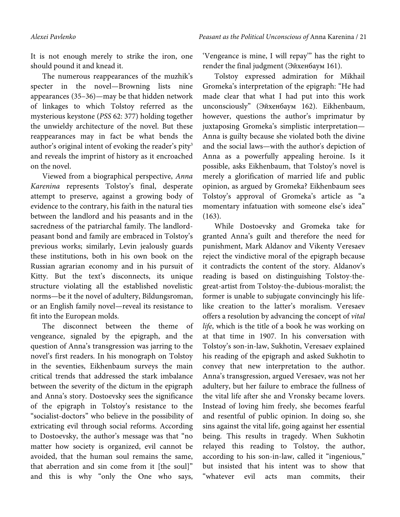It is not enough merely to strike the iron, one should pound it and knead it.

The numerous reappearances of the muzhik's specter in the novel—Browning lists nine appearances (35–36)—may be that hidden network of linkages to which Tolstoy referred as the mysterious keystone (*PSS* 62: 377) holding together the unwieldy architecture of the novel. But these reappearances may in fact be what bends the author's original intent of evoking the reader's pity<sup>3</sup> and reveals the imprint of history as it encroached on the novel.

Viewed from a biographical perspective, *Anna Karenina* represents Tolstoy's final, desperate attempt to preserve, against a growing body of evidence to the contrary, his faith in the natural ties between the landlord and his peasants and in the sacredness of the patriarchal family. The landlordpeasant bond and family are embraced in Tolstoy's previous works; similarly, Levin jealously guards these institutions, both in his own book on the Russian agrarian economy and in his pursuit of Kitty. But the text's disconnects, its unique structure violating all the established novelistic norms—be it the novel of adultery, Bildungsroman, or an English family novel—reveal its resistance to fit into the European molds.

The disconnect between the theme of vengeance, signaled by the epigraph, and the question of Anna's transgression was jarring to the novel's first readers. In his monograph on Tolstoy in the seventies, Eikhenbaum surveys the main critical trends that addressed the stark imbalance between the severity of the dictum in the epigraph and Anna's story. Dostoevsky sees the significance of the epigraph in Tolstoy's resistance to the "socialist-doctors" who believe in the possibility of extricating evil through social reforms. According to Dostoevsky, the author's message was that "no matter how society is organized, evil cannot be avoided, that the human soul remains the same, that aberration and sin come from it [the soul]" and this is why "only the One who says,

'Vengeance is mine, I will repay'" has the right to render the final judgment (Эйхенбаум 161).

Tolstoy expressed admiration for Mikhail Gromeka's interpretation of the epigraph: "He had made clear that what I had put into this work unconsciously" (Эйхенбаум 162). Eikhenbaum, however, questions the author's imprimatur by juxtaposing Gromeka's simplistic interpretation— Anna is guilty because she violated both the divine and the social laws—with the author's depiction of Anna as a powerfully appealing heroine. Is it possible, asks Eikhenbaum, that Tolstoy's novel is merely a glorification of married life and public opinion, as argued by Gromeka? Eikhenbaum sees Tolstoy's approval of Gromeka's article as "a momentary infatuation with someone else's idea" (163).

While Dostoevsky and Gromeka take for granted Anna's guilt and therefore the need for punishment, Mark Aldanov and Vikenty Veresaev reject the vindictive moral of the epigraph because it contradicts the content of the story. Aldanov's reading is based on distinguishing Tolstoy-thegreat-artist from Tolstoy-the-dubious-moralist; the former is unable to subjugate convincingly his lifelike creation to the latter's moralism. Veresaev offers a resolution by advancing the concept of *vital life*, which is the title of a book he was working on at that time in 1907. In his conversation with Tolstoy's son-in-law, Sukhotin, Veresaev explained his reading of the epigraph and asked Sukhotin to convey that new interpretation to the author. Anna's transgression, argued Veresaev, was not her adultery, but her failure to embrace the fullness of the vital life after she and Vronsky became lovers. Instead of loving him freely, she becomes fearful and resentful of public opinion. In doing so, she sins against the vital life, going against her essential being. This results in tragedy. When Sukhotin relayed this reading to Tolstoy, the author, according to his son-in-law, called it "ingenious," but insisted that his intent was to show that "whatever evil acts man commits, their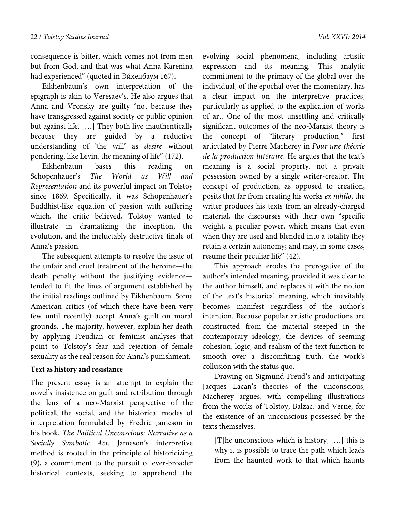consequence is bitter, which comes not from men but from God, and that was what Anna Karenina had experienced" (quoted in Эйхенбаум 167).

Eikhenbaum's own interpretation of the epigraph is akin to Veresaev's. He also argues that Anna and Vronsky are guilty "not because they have transgressed against society or public opinion but against life. […] They both live inauthentically because they are guided by a reductive understanding of 'the will' as *desire* without pondering, like Levin, the meaning of life" (172).

Eikhenbaum bases this reading on Schopenhauer's *The World as Will and Representation* and its powerful impact on Tolstoy since 1869. Specifically, it was Schopenhauer's Buddhist-like equation of passion with suffering which, the critic believed, Tolstoy wanted to illustrate in dramatizing the inception, the evolution, and the ineluctably destructive finale of Anna's passion.

The subsequent attempts to resolve the issue of the unfair and cruel treatment of the heroine—the death penalty without the justifying evidence tended to fit the lines of argument established by the initial readings outlined by Eikhenbaum. Some American critics (of which there have been very few until recently) accept Anna's guilt on moral grounds. The majority, however, explain her death by applying Freudian or feminist analyses that point to Tolstoy's fear and rejection of female sexuality as the real reason for Anna's punishment.

#### **Text as history and resistance**

The present essay is an attempt to explain the novel's insistence on guilt and retribution through the lens of a neo-Marxist perspective of the political, the social, and the historical modes of interpretation formulated by Fredric Jameson in his book, *The Political Unconscious: Narrative as a Socially Symbolic Act*. Jameson's interpretive method is rooted in the principle of historicizing (9), a commitment to the pursuit of ever-broader historical contexts, seeking to apprehend the

evolving social phenomena, including artistic expression and its meaning. This analytic commitment to the primacy of the global over the individual, of the epochal over the momentary, has a clear impact on the interpretive practices, particularly as applied to the explication of works of art. One of the most unsettling and critically significant outcomes of the neo-Marxist theory is the concept of "literary production," first articulated by Pierre Macherey in *Pour une théorie de la production littéraire*. He argues that the text's meaning is a social property, not a private possession owned by a single writer-creator. The concept of production, as opposed to creation, posits that far from creating his works *ex nihilo*, the writer produces his texts from an already-charged material, the discourses with their own "specific weight, a peculiar power, which means that even when they are used and blended into a totality they retain a certain autonomy; and may, in some cases, resume their peculiar life" (42).

This approach erodes the prerogative of the author's intended meaning, provided it was clear to the author himself, and replaces it with the notion of the text's historical meaning, which inevitably becomes manifest regardless of the author's intention. Because popular artistic productions are constructed from the material steeped in the contemporary ideology, the devices of seeming cohesion, logic, and realism of the text function to smooth over a discomfiting truth: the work's collusion with the status quo.

Drawing on Sigmund Freud's and anticipating Jacques Lacan's theories of the unconscious, Macherey argues, with compelling illustrations from the works of Tolstoy, Balzac, and Verne, for the existence of an unconscious possessed by the texts themselves:

[T]he unconscious which is history, […] this is why it is possible to trace the path which leads from the haunted work to that which haunts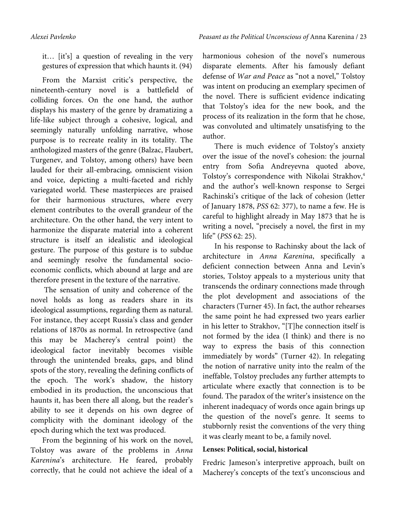it… [it's] a question of revealing in the very gestures of expression that which haunts it. (94)

From the Marxist critic's perspective, the nineteenth-century novel is a battlefield of colliding forces. On the one hand, the author displays his mastery of the genre by dramatizing a life-like subject through a cohesive, logical, and seemingly naturally unfolding narrative, whose purpose is to recreate reality in its totality. The anthologized masters of the genre (Balzac, Flaubert, Turgenev, and Tolstoy, among others) have been lauded for their all-embracing, omniscient vision and voice, depicting a multi-faceted and richly variegated world. These masterpieces are praised for their harmonious structures, where every element contributes to the overall grandeur of the architecture. On the other hand, the very intent to harmonize the disparate material into a coherent structure is itself an idealistic and ideological gesture. The purpose of this gesture is to subdue and seemingly resolve the fundamental socioeconomic conflicts, which abound at large and are therefore present in the texture of the narrative.

 The sensation of unity and coherence of the novel holds as long as readers share in its ideological assumptions, regarding them as natural. For instance, they accept Russia's class and gender relations of 1870s as normal. In retrospective (and this may be Macherey's central point) the ideological factor inevitably becomes visible through the unintended breaks, gaps, and blind spots of the story, revealing the defining conflicts of the epoch. The work's shadow, the history embodied in its production, the unconscious that haunts it, has been there all along, but the reader's ability to see it depends on his own degree of complicity with the dominant ideology of the epoch during which the text was produced.

From the beginning of his work on the novel, Tolstoy was aware of the problems in *Anna Karenina*'s architecture. He feared, probably correctly, that he could not achieve the ideal of a harmonious cohesion of the novel's numerous disparate elements. After his famously defiant defense of *War and Peace* as "not a novel," Tolstoy was intent on producing an exemplary specimen of the novel. There is sufficient evidence indicating that Tolstoy's idea for the new book, and the process of its realization in the form that he chose, was convoluted and ultimately unsatisfying to the author.

There is much evidence of Tolstoy's anxiety over the issue of the novel's cohesion: the journal entry from Sofia Andreyevna quoted above, Tolstoy's correspondence with Nikolai Strakhov,<sup>4</sup> and the author's well-known response to Sergei Rachinski's critique of the lack of cohesion (letter of January 1878, *PSS* 62: 377), to name a few. He is careful to highlight already in May 1873 that he is writing a novel, "precisely a novel, the first in my life" (*PSS* 62: 25).

In his response to Rachinsky about the lack of architecture in *Anna Karenina*, specifically a deficient connection between Anna and Levin's stories, Tolstoy appeals to a mysterious unity that transcends the ordinary connections made through the plot development and associations of the characters (Turner 45). In fact, the author rehearses the same point he had expressed two years earlier in his letter to Strakhov, "[T]he connection itself is not formed by the idea (I think) and there is no way to express the basis of this connection immediately by words" (Turner 42). In relegating the notion of narrative unity into the realm of the ineffable, Tolstoy precludes any further attempts to articulate where exactly that connection is to be found. The paradox of the writer's insistence on the inherent inadequacy of words once again brings up the question of the novel's genre. It seems to stubbornly resist the conventions of the very thing it was clearly meant to be, a family novel.

# **Lenses: Political, social, historical**

Fredric Jameson's interpretive approach, built on Macherey's concepts of the text's unconscious and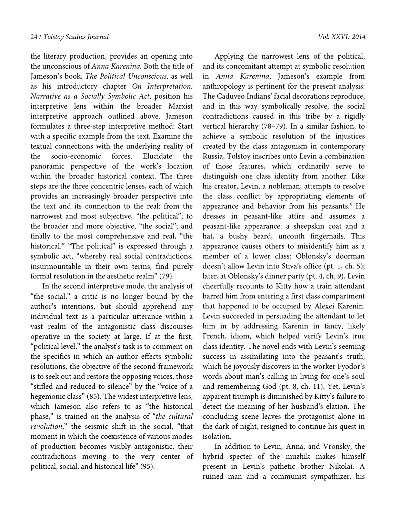the literary production, provides an opening into the unconscious of *Anna Karenina.* Both the title of Jameson's book, *The Political Unconscious,* as well as his introductory chapter *On Interpretation: Narrative as a Socially Symbolic Act*, position his interpretive lens within the broader Marxist interpretive approach outlined above. Jameson formulates a three-step interpretive method: Start with a specific example from the text. Examine the textual connections with the underlying reality of the socio-economic forces. Elucidate the panoramic perspective of the work's location within the broader historical context. The three steps are the three concentric lenses, each of which provides an increasingly broader perspective into the text and its connection to the real: from the narrowest and most subjective, "the political"; to the broader and more objective, "the social"; and finally to the most comprehensive and real, "the historical." "The political" is expressed through a symbolic act, "whereby real social contradictions, insurmountable in their own terms, find purely formal resolution in the aesthetic realm" (79).

In the second interpretive mode, the analysis of "the social," a critic is no longer bound by the author's intentions, but should apprehend any individual text as a particular utterance within a vast realm of the antagonistic class discourses operative in the society at large. If at the first, "political level," the analyst's task is to comment on the specifics in which an author effects symbolic resolutions, the objective of the second framework is to seek out and restore the opposing voices, those "stifled and reduced to silence" by the "voice of a hegemonic class" (85). The widest interpretive lens, which Jameson also refers to as "the historical phase," is trained on the analysis of "*the cultural revolution*," the seismic shift in the social, "that moment in which the coexistence of various modes of production becomes visibly antagonistic, their contradictions moving to the very center of political, social, and historical life" (95).

Applying the narrowest lens of the political, and its concomitant attempt at symbolic resolution in *Anna Karenina*, Jameson's example from anthropology is pertinent for the present analysis: The Caduveo Indians' facial decorations reproduce, and in this way symbolically resolve, the social contradictions caused in this tribe by a rigidly vertical hierarchy (78–79). In a similar fashion, to achieve a symbolic resolution of the injustices created by the class antagonism in contemporary Russia, Tolstoy inscribes onto Levin a combination of those features, which ordinarily serve to distinguish one class identity from another. Like his creator, Levin, a nobleman, attempts to resolve the class conflict by appropriating elements of appearance and behavior from his peasants.<sup>5</sup> He dresses in peasant-like attire and assumes a peasant-like appearance: a sheepskin coat and a hat, a bushy beard, uncouth fingernails. This appearance causes others to misidentify him as a member of a lower class: Oblonsky's doorman doesn't allow Levin into Stiva's office (pt. 1, ch. 5); later, at Oblonsky's dinner party (pt. 4, ch. 9), Levin cheerfully recounts to Kitty how a train attendant barred him from entering a first class compartment that happened to be occupied by Alexei Karenin. Levin succeeded in persuading the attendant to let him in by addressing Karenin in fancy, likely French, idiom, which helped verify Levin's true class identity. The novel ends with Levin's seeming success in assimilating into the peasant's truth, which he joyously discovers in the worker Fyodor's words about man's calling in living for one's soul and remembering God (pt. 8, ch. 11). Yet, Levin's apparent triumph is diminished by Kitty's failure to detect the meaning of her husband's elation. The concluding scene leaves the protagonist alone in the dark of night, resigned to continue his quest in isolation.

In addition to Levin, Anna, and Vronsky, the hybrid specter of the muzhik makes himself present in Levin's pathetic brother Nikolai. A ruined man and a communist sympathizer, his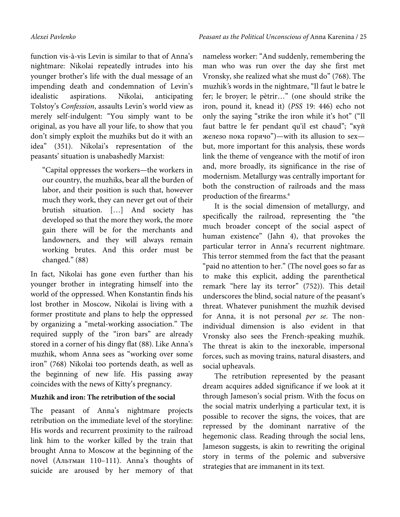function vis-à-vis Levin is similar to that of Anna's nightmare: Nikolai repeatedly intrudes into his younger brother's life with the dual message of an impending death and condemnation of Levin's idealistic aspirations. Nikolai, anticipating Tolstoy's *Confession*, assaults Levin's world view as merely self-indulgent: "You simply want to be original, as you have all your life, to show that you don't simply exploit the muzhiks but do it with an idea" (351). Nikolai's representation of the peasants' situation is unabashedly Marxist:

"Capital oppresses the workers—the workers in our country, the muzhiks, bear all the burden of labor, and their position is such that, however much they work, they can never get out of their brutish situation. […] And society has developed so that the more they work, the more gain there will be for the merchants and landowners, and they will always remain working brutes. And this order must be changed." (88)

In fact, Nikolai has gone even further than his younger brother in integrating himself into the world of the oppressed. When Konstantin finds his lost brother in Moscow, Nikolai is living with a former prostitute and plans to help the oppressed by organizing a "metal-working association." The required supply of the "iron bars" are already stored in a corner of his dingy flat (88). Like Anna's muzhik, whom Anna sees as "working over some iron" (768) Nikolai too portends death, as well as the beginning of new life. His passing away coincides with the news of Kitty's pregnancy.

# **Muzhik and iron: The retribution of the social**

The peasant of Anna's nightmare projects retribution on the immediate level of the storyline: His words and recurrent proximity to the railroad link him to the worker killed by the train that brought Anna to Moscow at the beginning of the novel (Альтман 110–111). Anna's thoughts of suicide are aroused by her memory of that

nameless worker: "And suddenly, remembering the man who was run over the day she first met Vronsky, she realized what she must do" (768). The muzhik*'*s words in the nightmare, "Il faut le batre le fer; le broyer; le pètrir…" (one should strike the iron, pound it, knead it) (*PSS* 19: 446) echo not only the saying "strike the iron while it's hot" ("Il faut battre le fer pendant qu'il est chaud"; "куй железо пока горячо")—with its allusion to sex but, more important for this analysis, these words link the theme of vengeance with the motif of iron and, more broadly, its significance in the rise of modernism. Metallurgy was centrally important for both the construction of railroads and the mass production of the firearms.<sup>6</sup>

It is the social dimension of metallurgy, and specifically the railroad, representing the "the much broader concept of the social aspect of human existence" (Jahn 4), that provokes the particular terror in Anna's recurrent nightmare. This terror stemmed from the fact that the peasant "paid no attention to her." (The novel goes so far as to make this explicit, adding the parenthetical remark "here lay its terror" (752)). This detail underscores the blind, social nature of the peasant's threat. Whatever punishment the muzhik devised for Anna, it is not personal *per se*. The nonindividual dimension is also evident in that Vronsky also sees the French-speaking muzhik. The threat is akin to the inexorable, impersonal forces, such as moving trains, natural disasters, and social upheavals.

The retribution represented by the peasant dream acquires added significance if we look at it through Jameson's social prism. With the focus on the social matrix underlying a particular text, it is possible to recover the signs, the voices, that are repressed by the dominant narrative of the hegemonic class. Reading through the social lens, Jameson suggests, is akin to rewriting the original story in terms of the polemic and subversive strategies that are immanent in its text.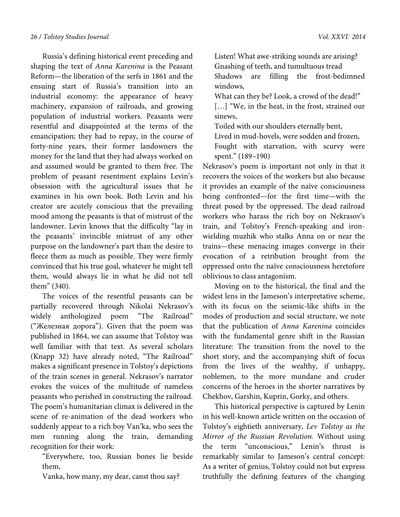Russia's defining historical event preceding and shaping the text of *Anna Karenina* is the Peasant Reform—the liberation of the serfs in 1861 and the ensuing start of Russia's transition into an industrial economy: the appearance of heavy machinery, expansion of railroads, and growing population of industrial workers. Peasants were resentful and disappointed at the terms of the emancipation; they had to repay, in the course of forty-nine years, their former landowners the money for the land that they had always worked on and assumed would be granted to them free. The problem of peasant resentment explains Levin's obsession with the agricultural issues that he examines in his own book. Both Levin and his creator are acutely conscious that the prevailing mood among the peasants is that of mistrust of the landowner. Levin knows that the difficulty "lay in the peasants' invincible mistrust of any other purpose on the landowner's part than the desire to fleece them as much as possible. They were firmly convinced that his true goal, whatever he might tell them, would always lie in what he did not tell them" (340).

The voices of the resentful peasants can be partially recovered through Nikolai Nekrasov's widely anthologized poem "The Railroad" ("Железная дорога"). Given that the poem was published in 1864, we can assume that Tolstoy was well familiar with that text. As several scholars (Knapp 32) have already noted, "The Railroad" makes a significant presence in Tolstoy's depictions of the train scenes in general. Nekrasov's narrator evokes the voices of the multitude of nameless peasants who perished in constructing the railroad. The poem's humanitarian climax is delivered in the scene of re-animation of the dead workers who suddenly appear to a rich boy Van'ka, who sees the men running along the train, demanding recognition for their work:

"Everywhere, too, Russian bones lie beside them,

Vanka, how many, my dear, canst thou say?

Listen! What awe-striking sounds are arising? Gnashing of teeth, and tumultuous tread Shadows are filling the frost-bedimned windows,

What can they be? Look, a crowd of the dead!" [...] "We, in the heat, in the frost, strained our sinews,

Toiled with our shoulders eternally bent,

Lived in mud-hovels, were sodden and frozen,

Fought with starvation, with scurvy were spent." (189–190)

Nekrasov's poem is important not only in that it recovers the voices of the workers but also because it provides an example of the naïve consciousness being confronted—for the first time—with the threat posed by the oppressed. The dead railroad workers who harass the rich boy on Nekrasov's train, and Tolstoy's French-speaking and ironwielding muzhik who stalks Anna on or near the trains—these menacing images converge in their evocation of a retribution brought from the oppressed onto the naïve consciousness heretofore oblivious to class antagonism.

Moving on to the historical, the final and the widest lens in the Jameson's interpretative scheme, with its focus on the seismic-like shifts in the modes of production and social structure, we note that the publication of *Anna Karenina* coincides with the fundamental genre shift in the Russian literature: The transition from the novel to the short story, and the accompanying shift of focus from the lives of the wealthy, if unhappy, noblemen, to the more mundane and cruder concerns of the heroes in the shorter narratives by Chekhov, Garshin, Kuprin, Gorky, and others.

This historical perspective is captured by Lenin in his well-known article written on the occasion of Tolstoy's eightieth anniversary, *Lev Tolstoy as the Mirror of the Russian Revolution.* Without using the term "unconscious," Lenin's thrust is remarkably similar to Jameson's central concept: As a writer of genius, Tolstoy could not but express truthfully the defining features of the changing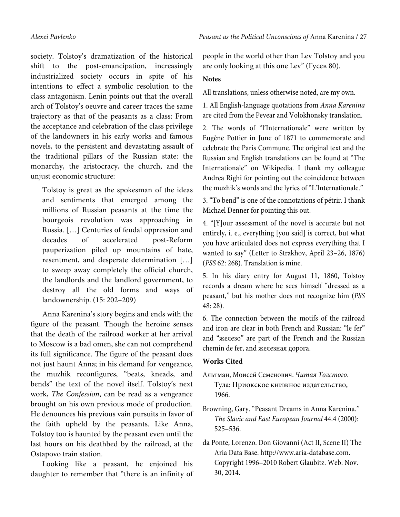society. Tolstoy's dramatization of the historical shift to the post-emancipation, increasingly industrialized society occurs in spite of his intentions to effect a symbolic resolution to the class antagonism. Lenin points out that the overall arch of Tolstoy's oeuvre and career traces the same trajectory as that of the peasants as a class: From the acceptance and celebration of the class privilege of the landowners in his early works and famous novels, to the persistent and devastating assault of the traditional pillars of the Russian state: the monarchy, the aristocracy, the church, and the unjust economic structure:

Tolstoy is great as the spokesman of the ideas and sentiments that emerged among the millions of Russian peasants at the time the bourgeois revolution was approaching in Russia. […] Centuries of feudal oppression and decades of accelerated post-Reform pauperization piled up mountains of hate, resentment, and desperate determination […] to sweep away completely the official church, the landlords and the landlord government, to destroy all the old forms and ways of landownership. (15: 202–209)

Anna Karenina's story begins and ends with the figure of the peasant. Though the heroine senses that the death of the railroad worker at her arrival to Moscow is a bad omen, she can not comprehend its full significance. The figure of the peasant does not just haunt Anna; in his demand for vengeance, the muzhik reconfigures, "beats, kneads, and bends" the text of the novel itself. Tolstoy's next work, *The Confession*, can be read as a vengeance brought on his own previous mode of production. He denounces his previous vain pursuits in favor of the faith upheld by the peasants. Like Anna, Tolstoy too is haunted by the peasant even until the last hours on his deathbed by the railroad, at the Ostapovo train station.

Looking like a peasant, he enjoined his daughter to remember that "there is an infinity of people in the world other than Lev Tolstoy and you are only looking at this one Lev" (Гусев 80).

## **Notes**

All translations, unless otherwise noted, are my own.

1. All English-language quotations from *Anna Karenina* are cited from the Pevear and Volokhonsky translation.

2. The words of "l'Internationale" were written by Eugène Pottier in June of 1871 to commemorate and celebrate the Paris Commune. The original text and the Russian and English translations can be found at "The Internationale" on Wikipedia. I thank my colleague Andrea Righi for pointing out the coincidence between the muzhik's words and the lyrics of "L'Internationale."

3. "To bend" is one of the connotations of pétrir. I thank Michael Denner for pointing this out.

4. "[Y]our assessment of the novel is accurate but not entirely, i. e., everything [you said] is correct, but what you have articulated does not express everything that I wanted to say" (Letter to Strakhov, April 23–26, 1876) (*PSS* 62: 268). Translation is mine.

5. In his diary entry for August 11, 1860, Tolstoy records a dream where he sees himself "dressed as a peasant," but his mother does not recognize him (*PSS* 48: 28).

6. The connection between the motifs of the railroad and iron are clear in both French and Russian: "le fer" and "железо" are part of the French and the Russian chemin de fer, and железная дорога.

## **Works Cited**

- Альтман, Моисей Семенович. *Читая Толстого*. Тула: Приокское книжное издательство, 1966.
- Browning, Gary. "Peasant Dreams in Anna Karenina." *The Slavic and East European Journal* 44.4 (2000): 525–536.

da Ponte, Lorenzo. Don Giovanni (Act II, Scene II) The Aria Data Base. http://www.aria-database.com. Copyright 1996–2010 Robert Glaubitz. Web. Nov. 30, 2014.